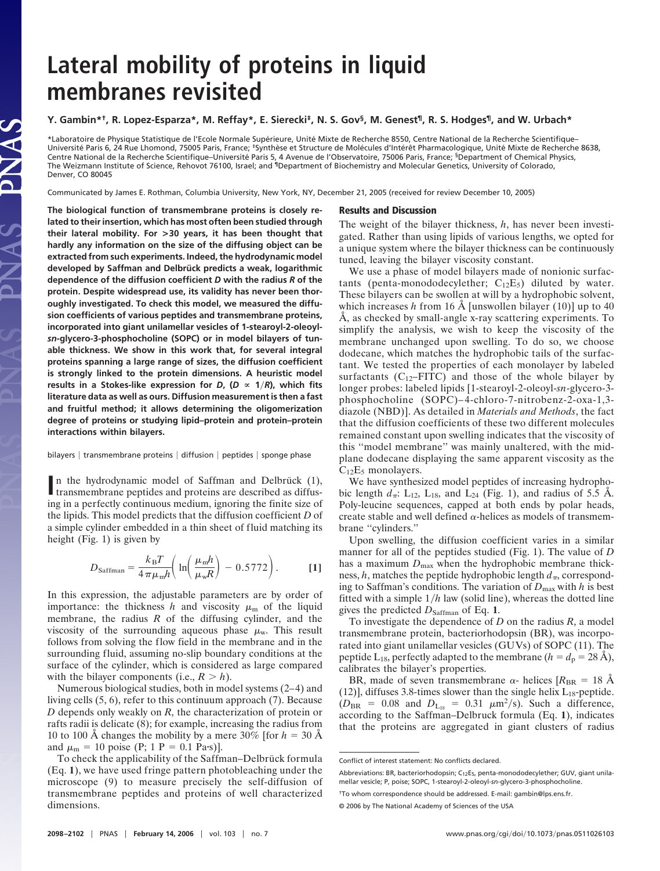# **Lateral mobility of proteins in liquid membranes revisited**

## **Y. Gambin\*†, R. Lopez-Esparza\*, M. Reffay\*, E. Sierecki‡, N. S. Gov§, M. Genest¶, R. S. Hodges¶, and W. Urbach\***

\*Laboratoire de Physique Statistique de l'Ecole Normale Supérieure, Unité Mixte de Recherche 8550, Centre National de la Recherche Scientifique– Université Paris 6, 24 Rue Lhomond, 75005 Paris, France; \*Synthèse et Structure de Molécules d'Intérêt Pharmacologique, Unité Mixte de Recherche 8638, Centre National de la Recherche Scientifique–Université Paris 5, 4 Avenue de l'Observatoire, 75006 Paris, France; <sup>§</sup>Department of Chemical Physics, The Weizmann Institute of Science, Rehovot 76100, Israel; and <sup>i</sup>Department of Biochemistry and Molecular Genetics, University of Colorado, Denver, CO 80045

Communicated by James E. Rothman, Columbia University, New York, NY, December 21, 2005 (received for review December 10, 2005)

**The biological function of transmembrane proteins is closely related to their insertion, which has most often been studied through their lateral mobility. For >30 years, it has been thought that hardly any information on the size of the diffusing object can be extracted from such experiments. Indeed, the hydrodynamic model** developed by Saffman and Delbrück predicts a weak, logarithmic **dependence of the diffusion coefficient** *D* **with the radius** *R* **of the protein. Despite widespread use, its validity has never been thoroughly investigated. To check this model, we measured the diffusion coefficients of various peptides and transmembrane proteins, incorporated into giant unilamellar vesicles of 1-stearoyl-2-oleoyl***sn***-glycero-3-phosphocholine (SOPC) or in model bilayers of tunable thickness. We show in this work that, for several integral proteins spanning a large range of sizes, the diffusion coefficient is strongly linked to the protein dimensions. A heuristic model results in a Stokes-like expression for** *D***, (** $D \propto 1/R$ **), which fits literature data as well as ours. Diffusion measurement is then a fast and fruitful method; it allows determining the oligomerization degree of proteins or studying lipid–protein and protein–protein interactions within bilayers.**

JAS

#### bilayers | transmembrane proteins | diffusion | peptides | sponge phase

In the hydrodynamic model of Saffman and Delbrück (1), transmembrane peptides and proteins are described as diffustransmembrane peptides and proteins are described as diffusing in a perfectly continuous medium, ignoring the finite size of the lipids. This model predicts that the diffusion coefficient *D* of a simple cylinder embedded in a thin sheet of fluid matching its height (Fig. 1) is given by

$$
D_{\text{Saffman}} = \frac{k_{\text{B}}T}{4\pi\mu_{\text{m}}h} \left( \ln \left( \frac{\mu_{\text{m}}h}{\mu_{\text{w}}R} \right) - 0.5772 \right). \tag{1}
$$

In this expression, the adjustable parameters are by order of importance: the thickness *h* and viscosity  $\mu_{m}$  of the liquid membrane, the radius *R* of the diffusing cylinder, and the viscosity of the surrounding aqueous phase  $\mu_w$ . This result follows from solving the flow field in the membrane and in the surrounding fluid, assuming no-slip boundary conditions at the surface of the cylinder, which is considered as large compared with the bilayer components (i.e.,  $R > h$ ).

Numerous biological studies, both in model systems (2–4) and living cells (5, 6), refer to this continuum approach (7). Because *D* depends only weakly on *R*, the characterization of protein or rafts radii is delicate (8); for example, increasing the radius from 10 to 100 Å changes the mobility by a mere  $30\%$  [for  $h = 30$  Å and  $\mu_{m} = 10$  poise (P; 1 P = 0.1 Pa·s)].

#### **Results and Discussion**

The weight of the bilayer thickness, *h*, has never been investigated. Rather than using lipids of various lengths, we opted for a unique system where the bilayer thickness can be continuously tuned, leaving the bilayer viscosity constant.

We use a phase of model bilayers made of nonionic surfactants (penta-monododecylether;  $C_{12}E_5$ ) diluted by water. These bilayers can be swollen at will by a hydrophobic solvent, which increases  $h$  from 16 Å [unswollen bilayer  $(10)$ ] up to 40 Å, as checked by small-angle x-ray scattering experiments. To simplify the analysis, we wish to keep the viscosity of the membrane unchanged upon swelling. To do so, we choose dodecane, which matches the hydrophobic tails of the surfactant. We tested the properties of each monolayer by labeled surfactants  $(C_{12} - FITC)$  and those of the whole bilayer by longer probes: labeled lipids [1-stearoyl-2-oleoyl-*sn*-glycero-3 phosphocholine (SOPC)–4-chloro-7-nitrobenz-2-oxa-1,3 diazole (NBD)]. As detailed in *Materials and Methods*, the fact that the diffusion coefficients of these two different molecules remained constant upon swelling indicates that the viscosity of this ''model membrane'' was mainly unaltered, with the midplane dodecane displaying the same apparent viscosity as the  $C_{12}E_5$  monolayers.

We have synthesized model peptides of increasing hydrophobic length  $d_{\pi}$ : L<sub>12</sub>, L<sub>18</sub>, and L<sub>24</sub> (Fig. 1), and radius of 5.5 Å. Poly-leucine sequences, capped at both ends by polar heads, create stable and well defined  $\alpha$ -helices as models of transmembrane ''cylinders.''

Upon swelling, the diffusion coefficient varies in a similar manner for all of the peptides studied (Fig. 1). The value of *D* has a maximum  $D_{\text{max}}$  when the hydrophobic membrane thickness,  $h$ , matches the peptide hydrophobic length  $d_{\pi}$ , corresponding to Saffman's conditions. The variation of  $D_{\text{max}}$  with *h* is best fitted with a simple  $1/h$  law (solid line), whereas the dotted line gives the predicted *D*Saffman of Eq. **1**.

To investigate the dependence of *D* on the radius *R*, a model transmembrane protein, bacteriorhodopsin (BR), was incorporated into giant unilamellar vesicles (GUVs) of SOPC (11). The peptide  $L_{18}$ , perfectly adapted to the membrane ( $h = d_p = 28$  Å), calibrates the bilayer's properties.

BR, made of seven transmembrane  $\alpha$ - helices [ $R_{BR}$  = 18 Å (12)], diffuses 3.8-times slower than the single helix  $L_{18}$ -peptide.  $(D_{BR} = 0.08$  and  $D_{L_{18}} = 0.31$   $\mu$ m<sup>2</sup>/s). Such a difference, according to the Saffman–Delbruck formula (Eq. **1**), indicates that the proteins are aggregated in giant clusters of radius

To check the applicability of the Saffman–Delbrück formula (Eq. **1**), we have used fringe pattern photobleaching under the microscope (9) to measure precisely the self-diffusion of transmembrane peptides and proteins of well characterized dimensions.

Conflict of interest statement: No conflicts declared.

Abbreviations: BR, bacteriorhodopsin; C<sub>12</sub>E<sub>5</sub>, penta-monododecylether; GUV, giant unilamellar vesicle; P, poise; SOPC, 1-stearoyl-2-oleoyl-*sn*-glycero-3-phosphocholine.

<sup>†</sup>To whom correspondence should be addressed. E-mail: gambin@lps.ens.fr.

<sup>© 2006</sup> by The National Academy of Sciences of the USA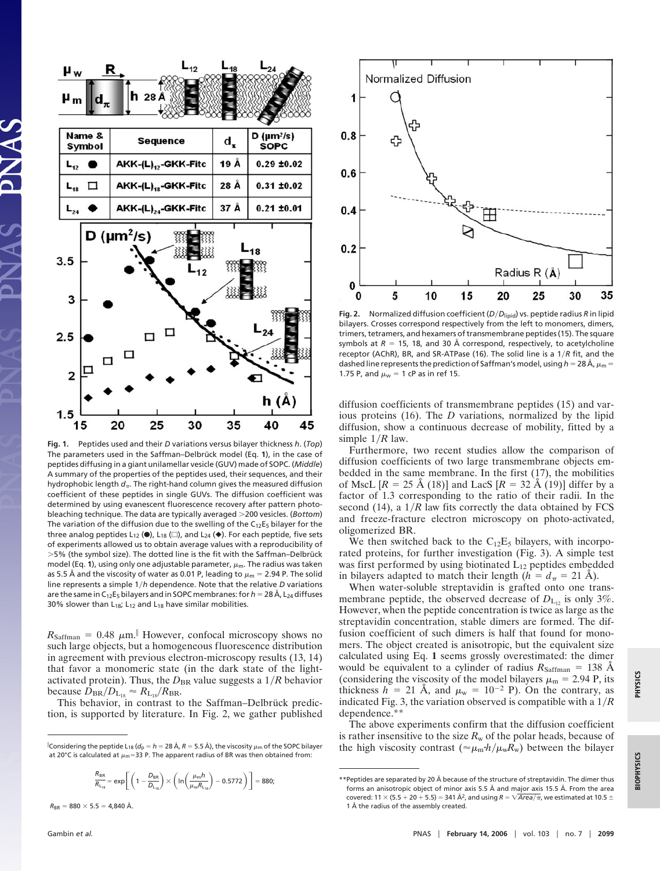

**Fig. 1.** Peptides used and their *D* variations versus bilayer thickness *h*. (*Top*) The parameters used in the Saffman–Delbrück model (Eq. 1), in the case of peptides diffusing in a giant unilamellar vesicle (GUV) made of SOPC. (*Middle*) A summary of the properties of the peptides used, their sequences, and their hydrophobic length  $d_{\pi}$ . The right-hand column gives the measured diffusion coefficient of these peptides in single GUVs. The diffusion coefficient was determined by using evanescent fluorescence recovery after pattern photobleaching technique. The data are typically averaged 200 vesicles. (*Bottom*) The variation of the diffusion due to the swelling of the  $C_{12}E_5$  bilayer for the three analog peptides  $L_{12}$  ( $\bullet$ ),  $L_{18}$  ( $\Box$ ), and  $L_{24}$  ( $\bullet$ ). For each peptide, five sets of experiments allowed us to obtain average values with a reproducibility of  $>5%$  (the symbol size). The dotted line is the fit with the Saffman–Delbrück model (Eq. 1), using only one adjustable parameter,  $\mu_{\rm m}$ . The radius was taken as 5.5 Å and the viscosity of water as 0.01 P, leading to  $\mu_{\sf m}$  = 2.94 P. The solid line represents a simple 1*h* dependence. Note that the relative *D* variations are the same in C<sub>12</sub>E<sub>5</sub> bilayers and in SOPC membranes: for *h* = 28 Å, L<sub>24</sub> diffuses 30% slower than  $L_{18}$ ;  $L_{12}$  and  $L_{18}$  have similar mobilities.

 $R_{\text{Saffman}} = 0.48 \mu \text{m}$ .<sup>|</sup> However, confocal microscopy shows no such large objects, but a homogeneous fluorescence distribution in agreement with previous electron-microscopy results (13, 14) that favor a monomeric state (in the dark state of the lightactivated protein). Thus, the  $D_{BR}$  value suggests a  $1/R$  behavior because  $D_{\text{BR}}/D_{\text{L}_{18}} \approx R_{\text{L}_{18}}/R_{\text{BR}}$ .

This behavior, in contrast to the Saffman–Delbrück prediction, is supported by literature. In Fig. 2, we gather published

$$
\frac{R_{\text{BR}}}{R_{L_{\text{1g}}}} = \text{exp}\Bigg[\left(1-\frac{D_{\text{BR}}}{D_{L_{\text{1g}}}}\right) \times \left(\ln\bigg(\frac{\mu_\text{m} h}{\mu_\text{w} R_{L_{\text{1g}}}}\bigg) - 0.5772\bigg)\Bigg] = 880;
$$

 $R_{BR} = 880 \times 5.5 = 4,840 \text{ Å}.$ 



bilayers. Crosses correspond respectively from the left to monomers, dimers, trimers, tetramers, and hexamers of transmembrane peptides (15). The square symbols at *R* = 15, 18, and 30 Å correspond, respectively, to acetylcholine receptor (AChR), BR, and SR-ATPase (16). The solid line is a 1/R fit, and the dashed line represents the prediction of Saffman's model, using  $h$  = 28 Å,  $\mu_{\sf m}$  = 1.75 P, and  $\mu_{\text{w}} = 1$  cP as in ref 15.

diffusion coefficients of transmembrane peptides (15) and various proteins (16). The *D* variations, normalized by the lipid diffusion, show a continuous decrease of mobility, fitted by a simple  $1/R$  law.

Furthermore, two recent studies allow the comparison of diffusion coefficients of two large transmembrane objects embedded in the same membrane. In the first (17), the mobilities of MscL  $[R = 25 \text{ Å } (18)]$  and LacS  $[R = 32 \text{ Å } (19)]$  differ by a factor of 1.3 corresponding to the ratio of their radii. In the second (14), a  $1/R$  law fits correctly the data obtained by FCS and freeze-fracture electron microscopy on photo-activated, oligomerized BR.

We then switched back to the  $C_{12}E_5$  bilayers, with incorporated proteins, for further investigation (Fig. 3). A simple test was first performed by using biotinated  $L_{12}$  peptides embedded in bilayers adapted to match their length  $(h = d_{\pi} = 21 \text{ Å})$ .

When water-soluble streptavidin is grafted onto one transmembrane peptide, the observed decrease of  $D_{L_{12}}$  is only 3%. However, when the peptide concentration is twice as large as the streptavidin concentration, stable dimers are formed. The diffusion coefficient of such dimers is half that found for monomers. The object created is anisotropic, but the equivalent size calculated using Eq. **1** seems grossly overestimated: the dimer would be equivalent to a cylinder of radius  $R_{\text{Saffman}} = 138$  Å (considering the viscosity of the model bilayers  $\mu_{\rm m} = 2.94$  P, its thickness  $h = 21$  Å, and  $\mu_w = 10^{-2}$  P). On the contrary, as indicated Fig. 3, the variation observed is compatible with a 1*R* dependence.\*\*

The above experiments confirm that the diffusion coefficient is rather insensitive to the size  $R_w$  of the polar heads, because of the high viscosity contrast ( $\approx \mu_m h / \mu_w R_w$ ) between the bilayer

**BIOPHYSICS**

**BIOPHYSICS** 

Considering the peptide L<sub>18</sub> ( $d_p = h = 28$  Å,  $R = 5.5$  Å), the viscosity  $\mu_m$  of the SOPC bilayer at 20°C is calculated at  $\mu_{\rm m}$ =33 P. The apparent radius of BR was then obtained from:

<sup>\*\*</sup>Peptides are separated by 20 Å because of the structure of streptavidin. The dimer thus forms an anisotropic object of minor axis 5.5 Å and major axis 15.5 Å. From the area covered: 11  $\times$  (5.5  $+$  20  $+$  5.5) = 341 Å<sup>2</sup>, and using  $R$  =  $\sqrt{Area/\pi}$ , we estimated at 10.5  $\pm$ 1 Å the radius of the assembly created.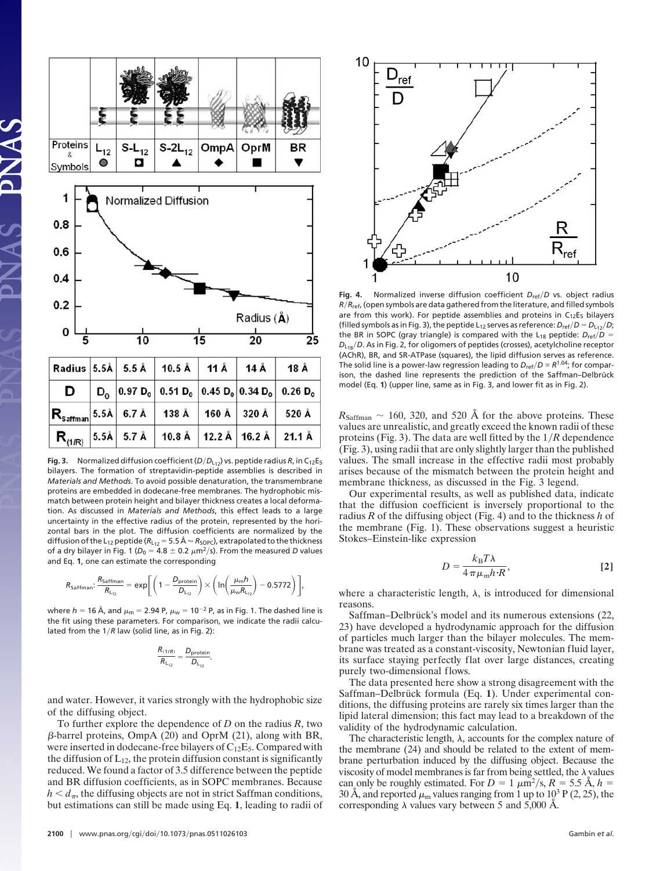

**Fig. 3.** Normalized diffusion coefficient  $(D/D_{L12})$  vs. peptide radius *R*, in C<sub>12</sub>E<sub>5</sub> bilayers. The formation of streptavidin-peptide assemblies is described in *Materials and Methods*. To avoid possible denaturation, the transmembrane proteins are embedded in dodecane-free membranes. The hydrophobic mismatch between protein height and bilayer thickness creates a local deformation. As discussed in *Materials and Methods*, this effect leads to a large uncertainty in the effective radius of the protein, represented by the horizontal bars in the plot. The diffusion coefficients are normalized by the diffusion of the L<sub>12</sub> peptide ( $R_{\text{L}_{12}}$  = 5.5 Å  $\approx$   $R_\text{SOPC}$ ), extrapolated to the thickness of a dry bilayer in Fig. 1 ( $D_0 = 4.8 \pm 0.2 \ \mu m^2/s$ ). From the measured *D* values and Eq. **1**, one can estimate the corresponding

$$
R_{\text{Saffman}}: \frac{R_{\text{Saffman}}}{R_{L_{12}}} = \text{exp}\Bigg[\Bigg(1-\frac{D_{\text{protein}}}{D_{L_{12}}}\Bigg) \times \Bigg( \text{In} \Bigg(\frac{\mu_m h}{\mu_w R_{L_{12}}}\Bigg) - 0.5772\Bigg)\Bigg],
$$

where  $h$  = 16 Å, and  $\mu_{\sf m}$  = 2.94 P,  $\mu_{\sf w}$  = 10<sup>–2</sup> P, as in Fig. 1. The dashed line is the fit using these parameters. For comparison, we indicate the radii calculated from the  $1/R$  law (solid line, as in Fig. 2):

$$
\frac{R_{(1/R)}}{R_{L_{12}}} = \frac{D_{\text{protein}}}{D_{L_{12}}}.
$$

and water. However, it varies strongly with the hydrophobic size of the diffusing object.

To further explore the dependence of *D* on the radius *R*, two  $\beta$ -barrel proteins, OmpA (20) and OprM (21), along with BR, were inserted in dodecane-free bilayers of  $C_{12}E_5$ . Compared with the diffusion of  $L_{12}$ , the protein diffusion constant is significantly reduced. We found a factor of 3.5 difference between the peptide and BR diffusion coefficients, as in SOPC membranes. Because  $h \leq d_{\pi}$ , the diffusing objects are not in strict Saffman conditions, but estimations can still be made using Eq. **1**, leading to radii of



Fig. 4. Normalized inverse diffusion coefficient  $D_{\text{ref}}/D$  vs. object radius *RR*ref, (open symbols are data gathered from the literature, and filled symbols are from this work). For peptide assemblies and proteins in  $C_{12}E_5$  bilayers (filled symbols as in Fig. 3), the peptide L<sub>12</sub> serves as reference:  $D_{\text{ref}}/D = D_{\text{L}_{12}}/D$ ; the BR in SOPC (gray triangle) is compared with the L<sub>18</sub> peptide:  $D_{\text{ref}}/D =$ *D*<sub>L18</sub>/*D*. As in Fig. 2, for oligomers of peptides (crosses), acetylcholine receptor (AChR), BR, and SR-ATPase (squares), the lipid diffusion serves as reference. The solid line is a power-law regression leading to  $D_{\text{ref}}/D \propto R^{1.04}$ ; for comparison, the dashed line represents the prediction of the Saffman-Delbrück model (Eq. **1**) (upper line, same as in Fig. 3, and lower fit as in Fig. 2).

 $R_{\text{Saffman}} \sim 160, 320, \text{ and } 520 \text{ Å}$  for the above proteins. These values are unrealistic, and greatly exceed the known radii of these proteins (Fig. 3). The data are well fitted by the 1*R* dependence (Fig. 3), using radii that are only slightly larger than the published values. The small increase in the effective radii most probably arises because of the mismatch between the protein height and membrane thickness, as discussed in the Fig. 3 legend.

Our experimental results, as well as published data, indicate that the diffusion coefficient is inversely proportional to the radius *R* of the diffusing object (Fig. 4) and to the thickness *h* of the membrane (Fig. 1). These observations suggest a heuristic Stokes–Einstein-like expression

$$
D = \frac{k_{\rm B} T \lambda}{4 \pi \mu_{\rm m} h \cdot R},\tag{2}
$$

where a characteristic length,  $\lambda$ , is introduced for dimensional reasons.

Saffman–Delbrück's model and its numerous extensions (22, 23) have developed a hydrodynamic approach for the diffusion of particles much larger than the bilayer molecules. The membrane was treated as a constant-viscosity, Newtonian fluid layer, its surface staying perfectly flat over large distances, creating purely two-dimensional flows.

The data presented here show a strong disagreement with the Saffman–Delbrück formula (Eq. 1). Under experimental conditions, the diffusing proteins are rarely six times larger than the lipid lateral dimension; this fact may lead to a breakdown of the validity of the hydrodynamic calculation.

The characteristic length,  $\lambda$ , accounts for the complex nature of the membrane (24) and should be related to the extent of membrane perturbation induced by the diffusing object. Because the viscosity of model membranes is far from being settled, the  $\lambda$  values can only be roughly estimated. For  $D = 1 \mu \text{m}^2/\text{s}, R = 5.5 \text{ Å}, h =$ 30 Å, and reported  $\mu_{\rm m}$  values ranging from 1 up to 10<sup>3</sup> P (2, 25), the corresponding  $\lambda$  values vary between 5 and 5,000 Å.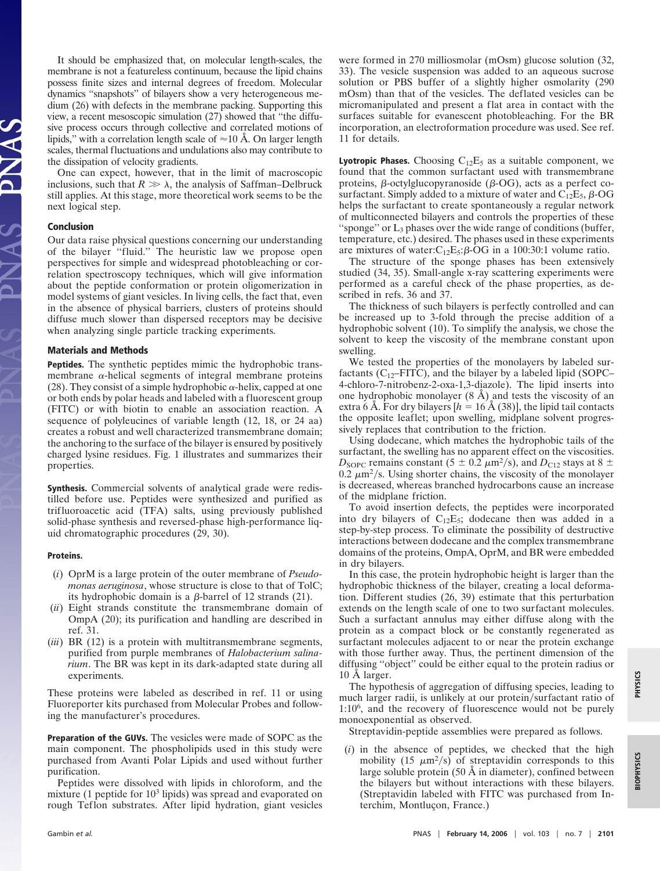It should be emphasized that, on molecular length-scales, the membrane is not a featureless continuum, because the lipid chains possess finite sizes and internal degrees of freedom. Molecular dynamics ''snapshots'' of bilayers show a very heterogeneous medium (26) with defects in the membrane packing. Supporting this view, a recent mesoscopic simulation (27) showed that ''the diffusive process occurs through collective and correlated motions of lipids," with a correlation length scale of  $\approx 10$  Å. On larger length scales, thermal fluctuations and undulations also may contribute to the dissipation of velocity gradients.

One can expect, however, that in the limit of macroscopic inclusions, such that  $R \gg \lambda$ , the analysis of Saffman–Delbruck still applies. At this stage, more theoretical work seems to be the next logical step.

#### **Conclusion**

Our data raise physical questions concerning our understanding of the bilayer ''fluid.'' The heuristic law we propose open perspectives for simple and widespread photobleaching or correlation spectroscopy techniques, which will give information about the peptide conformation or protein oligomerization in model systems of giant vesicles. In living cells, the fact that, even in the absence of physical barriers, clusters of proteins should diffuse much slower than dispersed receptors may be decisive when analyzing single particle tracking experiments.

#### **Materials and Methods**

**Peptides.** The synthetic peptides mimic the hydrophobic transmembrane  $\alpha$ -helical segments of integral membrane proteins (28). They consist of a simple hydrophobic  $\alpha$ -helix, capped at one or both ends by polar heads and labeled with a fluorescent group (FITC) or with biotin to enable an association reaction. A sequence of polyleucines of variable length (12, 18, or 24 aa) creates a robust and well characterized transmembrane domain; the anchoring to the surface of the bilayer is ensured by positively charged lysine residues. Fig. 1 illustrates and summarizes their properties.

**Synthesis.** Commercial solvents of analytical grade were redistilled before use. Peptides were synthesized and purified as trifluoroacetic acid (TFA) salts, using previously published solid-phase synthesis and reversed-phase high-performance liquid chromatographic procedures (29, 30).

#### **Proteins.**

- (*i*) OprM is a large protein of the outer membrane of *Pseudomonas aeruginosa*, whose structure is close to that of TolC; its hydrophobic domain is a  $\beta$ -barrel of 12 strands (21).
- (*ii*) Eight strands constitute the transmembrane domain of OmpA (20); its purification and handling are described in ref. 31.
- (*iii*) BR (12) is a protein with multitransmembrane segments, purified from purple membranes of *Halobacterium salinarium*. The BR was kept in its dark-adapted state during all experiments.

These proteins were labeled as described in ref. 11 or using Fluoreporter kits purchased from Molecular Probes and following the manufacturer's procedures.

**Preparation of the GUVs.** The vesicles were made of SOPC as the main component. The phospholipids used in this study were purchased from Avanti Polar Lipids and used without further purification.

Peptides were dissolved with lipids in chloroform, and the mixture (1 peptide for  $10<sup>3</sup>$  lipids) was spread and evaporated on rough Teflon substrates. After lipid hydration, giant vesicles were formed in 270 milliosmolar (mOsm) glucose solution (32, 33). The vesicle suspension was added to an aqueous sucrose solution or PBS buffer of a slightly higher osmolarity (290 mOsm) than that of the vesicles. The deflated vesicles can be micromanipulated and present a flat area in contact with the surfaces suitable for evanescent photobleaching. For the BR incorporation, an electroformation procedure was used. See ref. 11 for details.

**Lyotropic Phases.** Choosing  $C_{12}E_5$  as a suitable component, we found that the common surfactant used with transmembrane proteins,  $\beta$ -octylglucopyranoside ( $\beta$ -OG), acts as a perfect cosurfactant. Simply added to a mixture of water and  $C_{12}E_5$ ,  $\beta$ -OG helps the surfactant to create spontaneously a regular network of multiconnected bilayers and controls the properties of these "sponge" or  $L_3$  phases over the wide range of conditions (buffer, temperature, etc.) desired. The phases used in these experiments are mixtures of water: $C_{12}E_5$ : $\beta$ -OG in a 100:30:1 volume ratio.

The structure of the sponge phases has been extensively studied (34, 35). Small-angle x-ray scattering experiments were performed as a careful check of the phase properties, as described in refs. 36 and 37.

The thickness of such bilayers is perfectly controlled and can be increased up to 3-fold through the precise addition of a hydrophobic solvent (10). To simplify the analysis, we chose the solvent to keep the viscosity of the membrane constant upon swelling.

We tested the properties of the monolayers by labeled surfactants ( $C_{12}$ –FITC), and the bilayer by a labeled lipid (SOPC– 4-chloro-7-nitrobenz-2-oxa-1,3-diazole). The lipid inserts into one hydrophobic monolayer (8 Å) and tests the viscosity of an extra 6 Å. For dry bilayers  $[h = 16 \text{ Å } (38)]$ , the lipid tail contacts the opposite leaflet; upon swelling, midplane solvent progressively replaces that contribution to the friction.

Using dodecane, which matches the hydrophobic tails of the surfactant, the swelling has no apparent effect on the viscosities.  $D_{\text{SOPC}}$  remains constant (5  $\pm$  0.2  $\mu$ m<sup>2</sup>/s), and  $D_{\text{C12}}$  stays at 8  $\pm$ 0.2  $\mu$ m<sup>2</sup>/s. Using shorter chains, the viscosity of the monolayer is decreased, whereas branched hydrocarbons cause an increase of the midplane friction.

To avoid insertion defects, the peptides were incorporated into dry bilayers of  $C_{12}E_5$ ; dodecane then was added in a step-by-step process. To eliminate the possibility of destructive interactions between dodecane and the complex transmembrane domains of the proteins, OmpA, OprM, and BR were embedded in dry bilayers.

In this case, the protein hydrophobic height is larger than the hydrophobic thickness of the bilayer, creating a local deformation. Different studies (26, 39) estimate that this perturbation extends on the length scale of one to two surfactant molecules. Such a surfactant annulus may either diffuse along with the protein as a compact block or be constantly regenerated as surfactant molecules adjacent to or near the protein exchange with those further away. Thus, the pertinent dimension of the diffusing ''object'' could be either equal to the protein radius or 10 Å larger.

The hypothesis of aggregation of diffusing species, leading to much larger radii, is unlikely at our protein/surfactant ratio of 1:106, and the recovery of fluorescence would not be purely monoexponential as observed.

Streptavidin-peptide assemblies were prepared as follows.

(*i*) in the absence of peptides, we checked that the high mobility (15  $\mu$ m<sup>2</sup>/s) of streptavidin corresponds to this large soluble protein (50 Å in diameter), confined between the bilayers but without interactions with these bilayers. (Streptavidin labeled with FITC was purchased from Interchim, Montluçon, France.)

**PHYSICS**